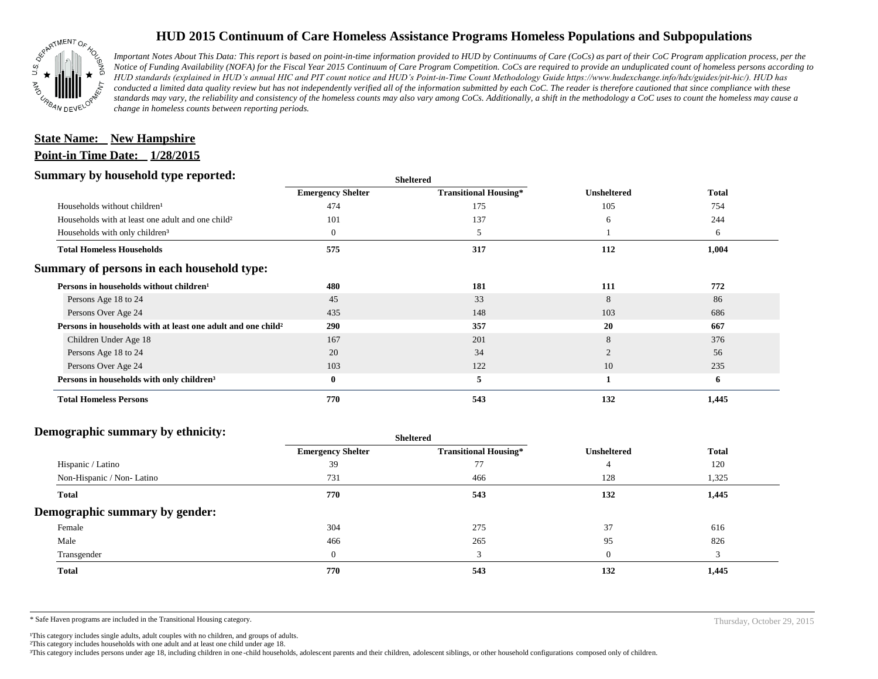

# **HUD 2015 Continuum of Care Homeless Assistance Programs Homeless Populations and Subpopulations**

*Important Notes About This Data: This report is based on point-in-time information provided to HUD by Continuums of Care (CoCs) as part of their CoC Program application process, per the Notice of Funding Availability (NOFA) for the Fiscal Year 2015 Continuum of Care Program Competition. CoCs are required to provide an unduplicated count of homeless persons according to HUD standards (explained in HUD's annual HIC and PIT count notice and HUD's Point-in-Time Count Methodology Guide https://www.hudexchange.info/hdx/guides/pit-hic/). HUD has conducted a limited data quality review but has not independently verified all of the information submitted by each CoC. The reader is therefore cautioned that since compliance with these*  standards may vary, the reliability and consistency of the homeless counts may also vary among CoCs. Additionally, a shift in the methodology a CoC uses to count the homeless may cause a *change in homeless counts between reporting periods.*

# **Point-in Time Date: 1/28/2015 State Name: New Hampshire**

#### **Summary by household type reported:**

| . .                                                                      | эненеген                 |                              |                    |              |
|--------------------------------------------------------------------------|--------------------------|------------------------------|--------------------|--------------|
|                                                                          | <b>Emergency Shelter</b> | <b>Transitional Housing*</b> | <b>Unsheltered</b> | <b>Total</b> |
| Households without children <sup>1</sup>                                 | 474                      | 175                          | 105                | 754          |
| Households with at least one adult and one child <sup>2</sup>            | 101                      | 137                          | 6                  | 244          |
| Households with only children <sup>3</sup>                               | $\overline{0}$           | 5                            |                    | 6            |
| <b>Total Homeless Households</b>                                         | 575                      | 317                          | 112                | 1,004        |
| Summary of persons in each household type:                               |                          |                              |                    |              |
| Persons in households without children <sup>1</sup>                      | 480                      | 181                          | 111                | 772          |
| Persons Age 18 to 24                                                     | 45                       | 33                           | 8                  | 86           |
| Persons Over Age 24                                                      | 435                      | 148                          | 103                | 686          |
| Persons in households with at least one adult and one child <sup>2</sup> | 290                      | 357                          | 20                 | 667          |
| Children Under Age 18                                                    | 167                      | 201                          | 8                  | 376          |
| Persons Age 18 to 24                                                     | 20                       | 34                           |                    | 56           |
| Persons Over Age 24                                                      | 103                      | 122                          | 10                 | 235          |
| Persons in households with only children <sup>3</sup>                    | $\bf{0}$                 | 5                            |                    | 6            |
| <b>Total Homeless Persons</b>                                            | 770                      | 543                          | 132                | 1,445        |

**Sheltered**

### **Demographic summary by ethnicity:**

| Sneitered                |                              |                    |              |
|--------------------------|------------------------------|--------------------|--------------|
| <b>Emergency Shelter</b> | <b>Transitional Housing*</b> | <b>Unsheltered</b> | <b>Total</b> |
| 39                       | 77                           |                    | 120          |
| 731                      | 466                          | 128                | 1,325        |
| 770                      | 543                          | 132                | 1,445        |
|                          |                              |                    |              |
| 304                      | 275                          | 37                 | 616          |
| 466                      | 265                          | 95                 | 826          |
| $\overline{0}$           | 3                            | $\Omega$           | 3            |
| 770                      | 543                          | 132                | 1,445        |
|                          |                              |                    |              |

**Sheltered**

\* Safe Haven programs are included in the Transitional Housing category.

Thursday, October 29, 2015

<sup>1</sup>This category includes single adults, adult couples with no children, and groups of adults. ²This category includes households with one adult and at least one child under age 18.

<sup>3</sup>This category includes persons under age 18, including children in one-child households, adolescent parents and their children, adolescent siblings, or other household configurations composed only of children